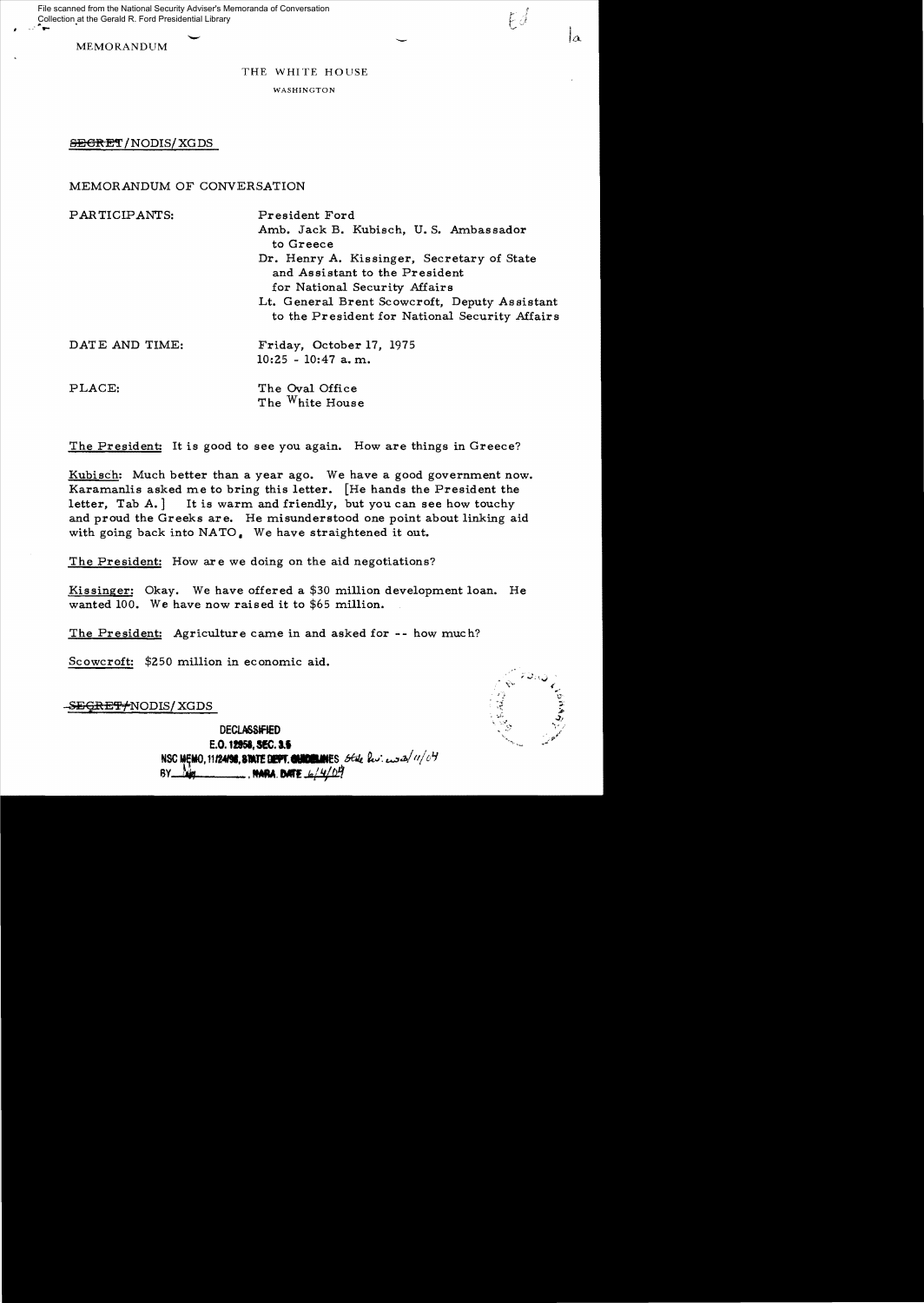Collection at the Gerald R. Ford Presidential Library<br>  $\begin{array}{ccc}\n\bullet \\
\bullet\n\end{array}$ File scanned from the National Security Adviser's Memoranda of Conversation

MEMORANDUM

# THE WHITE HOUSE

WASHINGTON

# **SECRET/NODIS/XGDS**

# MEMORANDUM OF CONVERSATION

PARTICIPANTS: President Ford Amb. Jack B. Kubisch, U.S. Ambassador to Greece Dr. Henry A. Kissinger, Secretary of State and Assistant to the President for National Security Affairs Lt. General Brent Scowcroft, Deputy Assistant to the President for National Security Affairs DATE AND TIME: Friday, October 17, 1975  $10:25 - 10:47$  a.m. PLACE: The Oval Office The White House

The President: It is good to see you again. How are things in Greece?

Kubisch: Much better than a year ago. We have a good government now. Karamanlis asked me to bring this letter. [He hands the President the letter,  $Tab A.$  It is warm and friendly, but you can see how touchy and proud the Greeks are. He misunderstood one point about linking aid with going back into NATO. We have straightened it out.

The President: How are we doing on the aid negotiations?

Kissinger: Okay. We have offered a \$30 million development loan. He wanted 100. We have now raised it to \$65 million.

The President: Agriculture came in and asked for -- how much?

Scowcroft: \$250 million in economic aid.

-<del>SEGRET/</del>NODIS/XGDS

 $\mathbb{R} \subseteq \mathbb{R}^n$  $5.65$ ;" .::",

 $F\hat{\beta}$ 

DECLASSIFIED E.O. 12958, SEC. 3.5 NSC MEMO, 11124198, STATE DEPT. **CHARGE AN**ES *Black but end a/11/04*  $\frac{1}{2}$  . HARA. DATE  $\frac{1}{2}$  / 4/04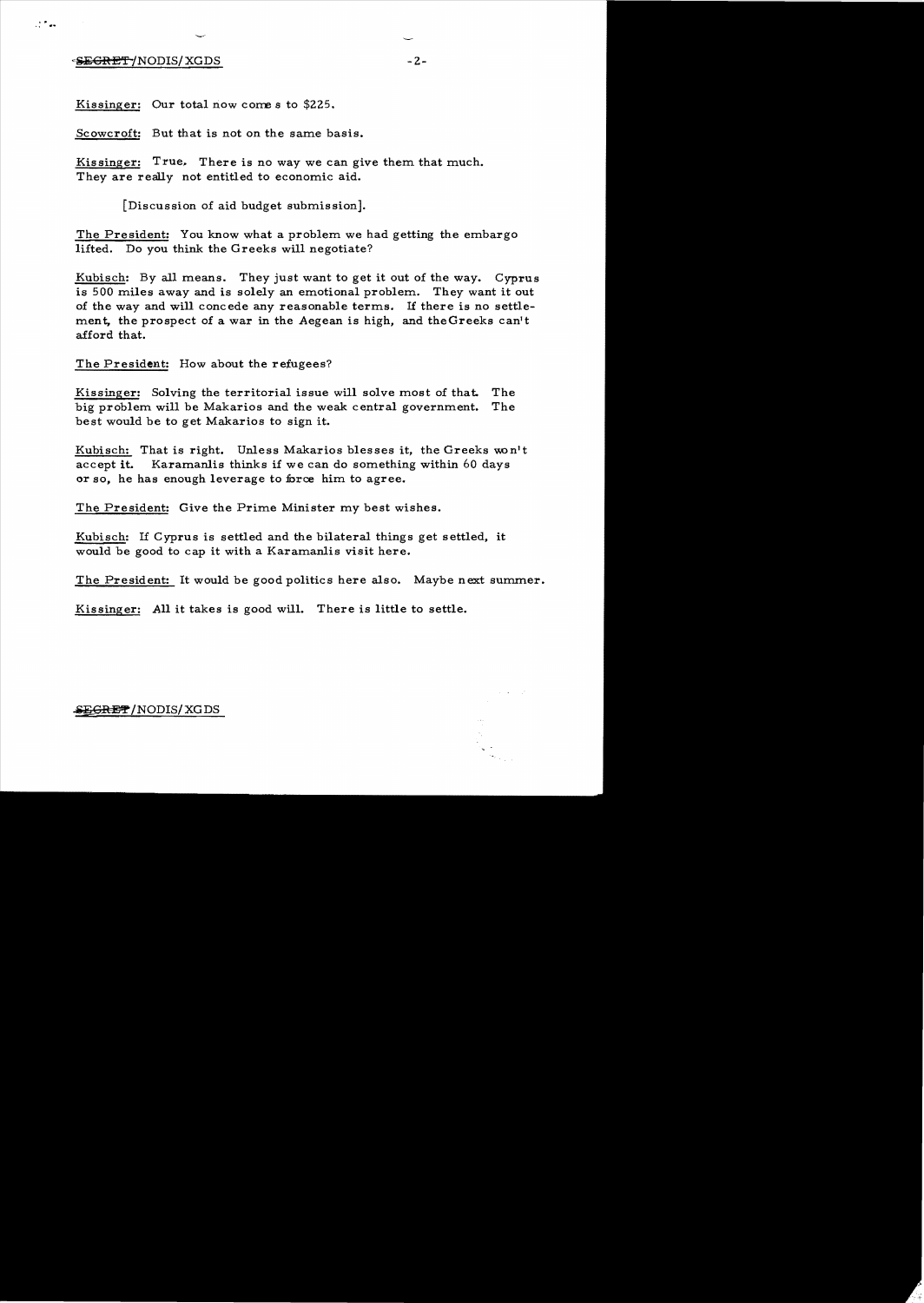# -S<del>EGRET/</del>NODIS/XGDS -2-

" ·.**.,..** 

Kissinger: Our total now come s to \$225.

Scowcroft: But that is not on the same basis.

Kissinger: True. There is no way we can give them that much. They are really not entitled to economic aid.

[Discussion of aid budget submission].

The President: You know what a problem we had getting the embargo. lifted. Do you think the Greeks will negotiate?

Kubisch: By all means. They just want to get it out of the way. Cyprus is 500 miles away and is solely an emotional problem. They want it out of the way and will concede any reasonable terms. If there is no settlement, the prospect of a war in the Aegean is high, and the Greeks can't afford that.

The President: How about the refugees?

Kissinger: Solving the territorial issue will solve most of that. The big problem will be Makarios and the weak central government. The best would be to get Makarios to sign it.

Kubisch: That is right. Unless Makarios blesses it, the Greeks won't accept it. Karamanlis thinks if we can do something within 60 days or so, he has enough leverage to force him to agree.

The President: Give the Prime Minister my best wishes.

Kubisch: If Cyprus is settled and the bilateral things get settled, it would be good to cap it with a Karamanlis visit here.

The President: It would be good politics here also. Maybe next summer.

Kissinger: All it takes is good will. There is little to settle.

## $\mathcal{L}(\mathcal{S}\to\mathcal{S})=\mathcal{S}(\mathcal{S})$  and  $\mathcal{S}'$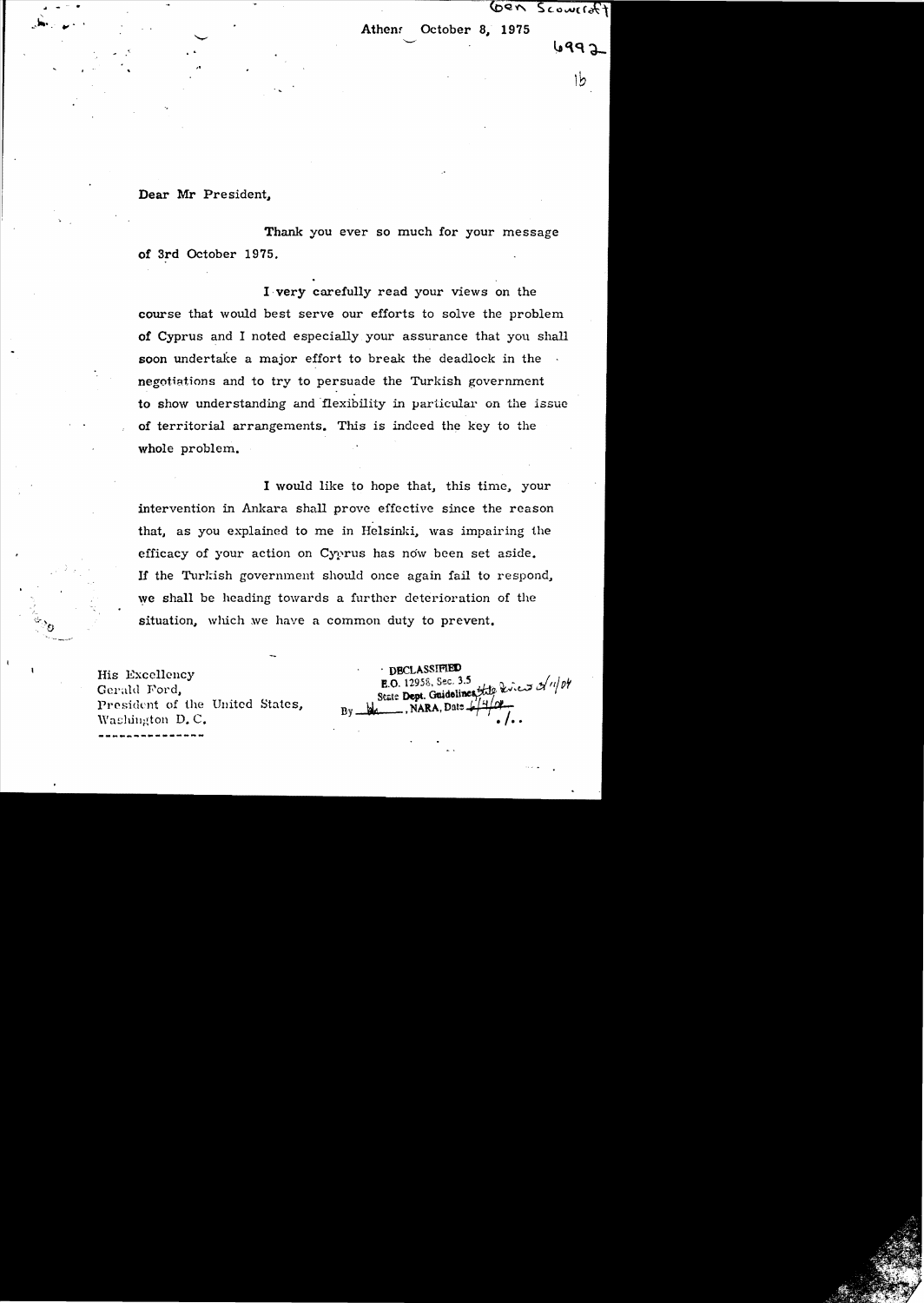Gen Scowerst

Athenr October 8, 1975

de la contrada de la contrada de la contrada de la contrada de la contrada de la contrada de la contrada de la<br>Entre el contrada de la contrada de la contrada de la contrada de la contrada de la contrada de la contrada de

6992

# Dear Mr President..

"': .. '"

Thank you ever so much for your message of 3rd October 1975.

I,very carefully read your views on the course that would best serve our efforts to solve the problem of Cyprus and I noted especially your assurance that you shall soon undertal{e a major effort to break the deadlock in the negotiations and to try to persuade the Turkish government to show understanding and flexibility in particular on the issue of territorial arrangements. This is indeed the key to the whole problem.

I would like to hope that, this time, your intervention in Ankara shall prove effective since the reason that, as you explained to me in Helsinki, was impairing the efficacy of your action on Cyprus has now been set aside. If the Turkish government should once again fail to respond, we shall be heading towards a further deterioration of the situation, which we have a common duty to prevent.

**---------------** His Excellency Gerald Ford, President of the United States, Washington  $D$ . C.

**DECLASSIFIED E.O.** 12958, Sec. 3.5<br>Seate Dept. Guidelines the Rivers of  $\frac{u}{v}$ NARA, Date 4  $Bv =$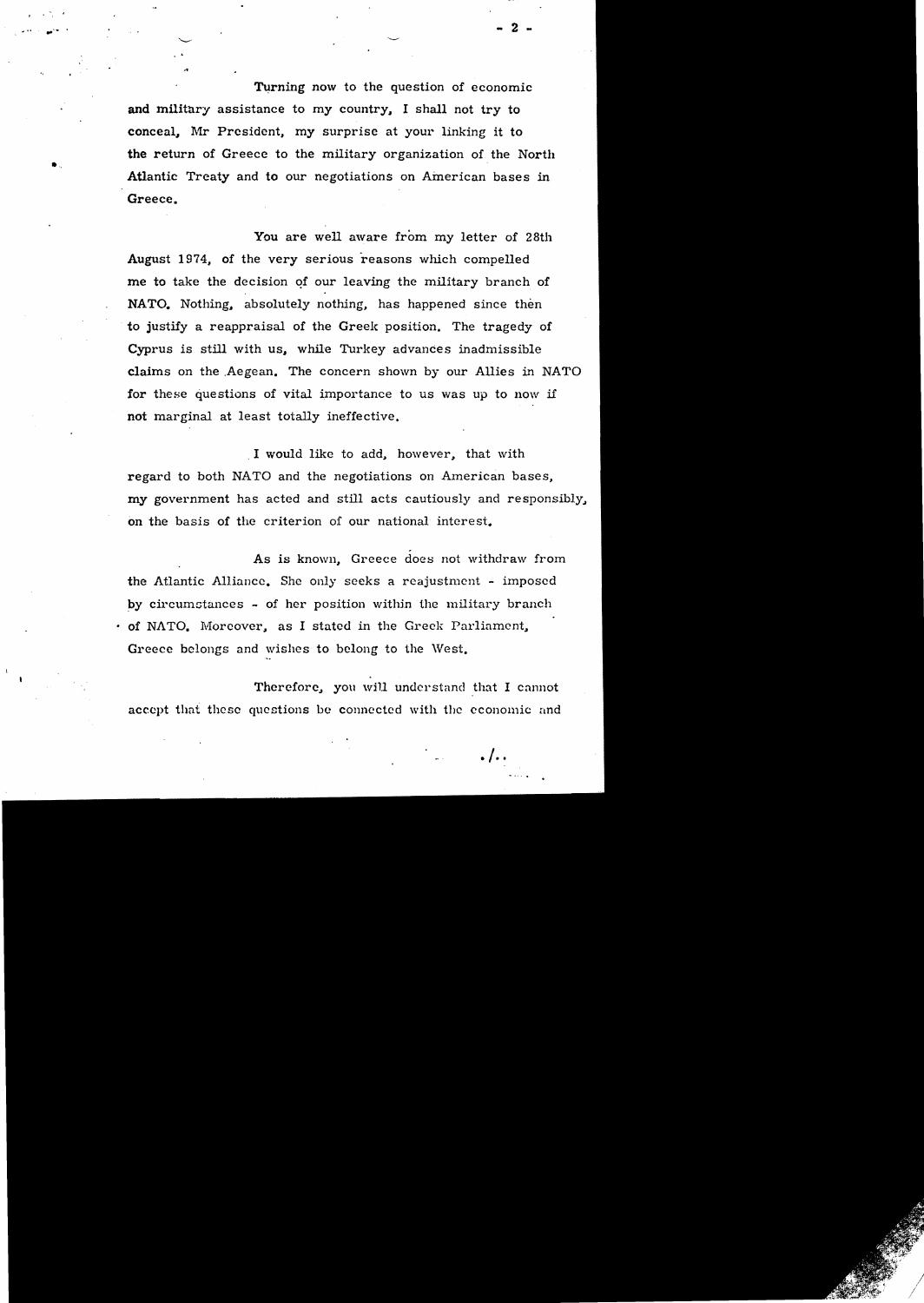Turning now to the question of economic and military assistance to my country, I shall not try to conceal, Mr President, my surprise at your linking it to the return of Greece to the military organization of the North Atlantic Treaty and to our negotiations on American bases in Greece.

"

•

You are well aware from my letter of 28th August 1974, of the very serious reasons which compelled me to take the decision of our leaving the military branch of NATO. Nothing, absolutely nothing, has happened since then to justify a reappraisal of the Greek position. The tragedy of Cyprus *is* still with us.. while Turkey advances inadmissible claims on the .Aegean. The concern shown by our Allies in NATO for these questions of vital importance to us was up to now if not marginal at least totally ineffective,

. I would like to add.. however, that with regard to both NATO and the negotiations on American bases, my government has acted and still acts cautiously and responsibly, on the basis of the criterion of our national interest.

. As is known, Greece does not withdraw from the Atlantic Alliance. She only seeks a reajustment - imposed by circumstances  $\sim$  of her position within the military branch  $\cdot$  of NATO. Moreover, as I stated in the Greek Parliament. Greece belongs and wishes to belong to the West.

Therefore, you will understand that I cannot accept that these questions be connected with the economic and

..~ ... - 2 ..

 $. / . .$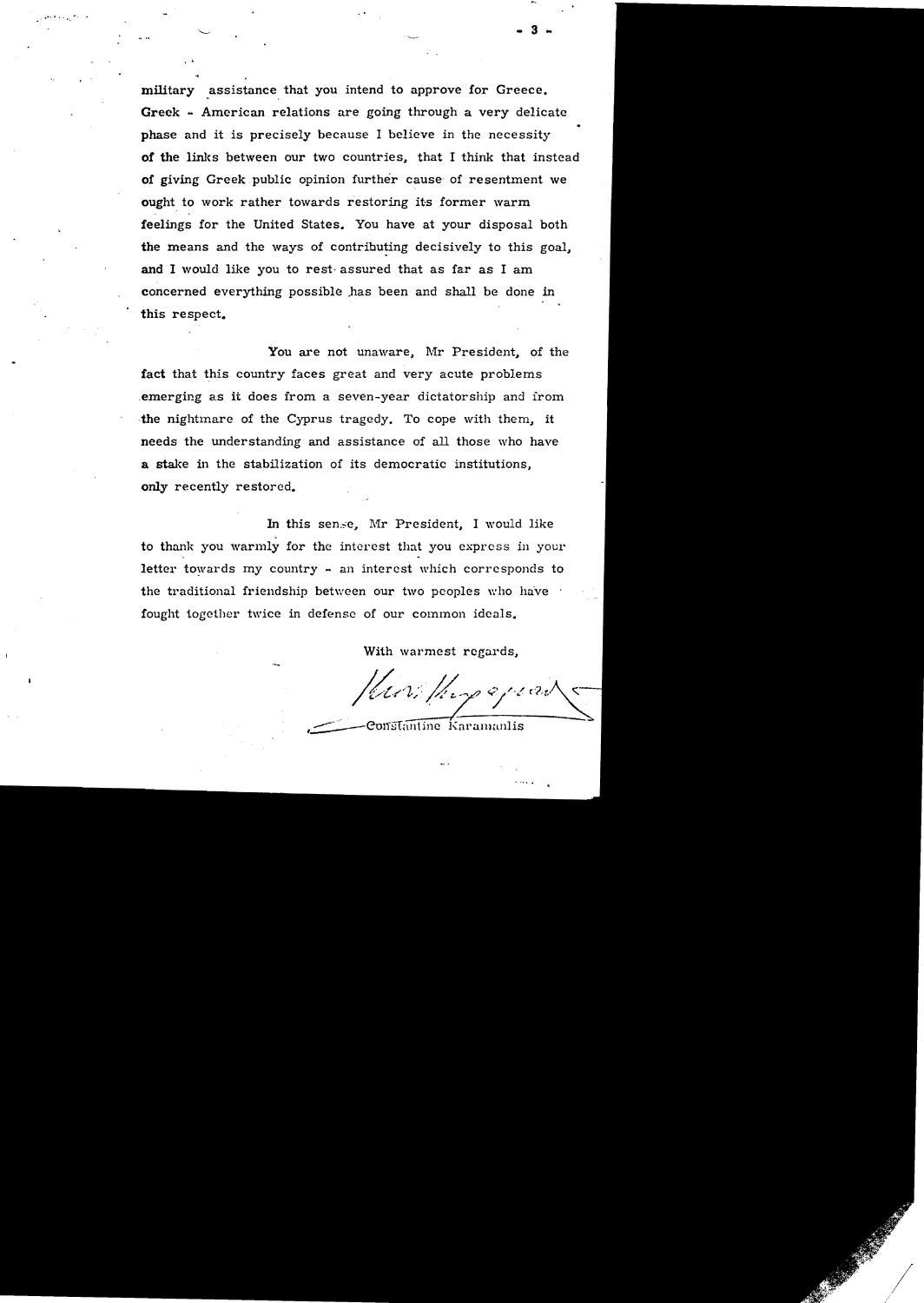military assistance that you intend to approve for Greece. Greek - American relations are going through a very delicate phase and it is precisely because I believe in the necessity of the links between our two countries, that I think that instead of giving Greek public opinion further cause of resentment we ought to work rather towards restoring its former warm feelings for the United States. You have at your disposal both the means and the ways of contributing decisively to this goal, and I would like you to rest· assured that as far as I am concerned everything possible .has been and shall be done in this respect.

.-... ~ ", ..

..

You are not unaware, Mr President, of the fact that this country faces great and very acute problems .emerging as it does from a seven-year dictatorship and irom the nightmare of the Cyprus tragedy. To cope with them, it needs the understanding and assistance of all those who have a stake in the stabilization of its democratic institutions. only recently restored.

In this sense, Mr President, I would like to thank you warrnly for the interest that you express in your letter towards my country - an interest which corresponds to the traditional friendship between our two peoples who ha've fought together twice in defense of our common ideals.

With warmest regards,

Muri Hupepear

 $\overline{\text{Constantine}}$  Karamanlis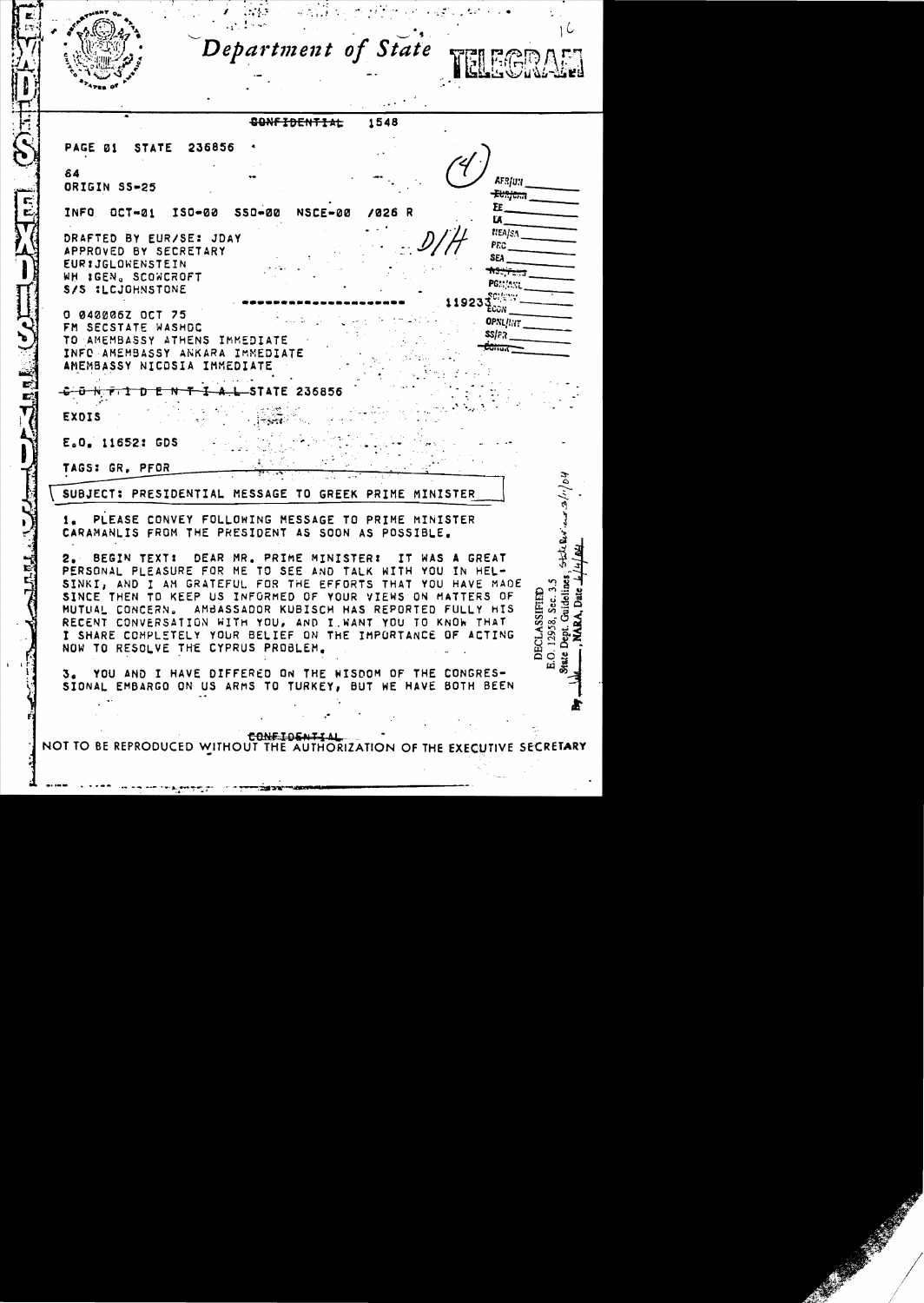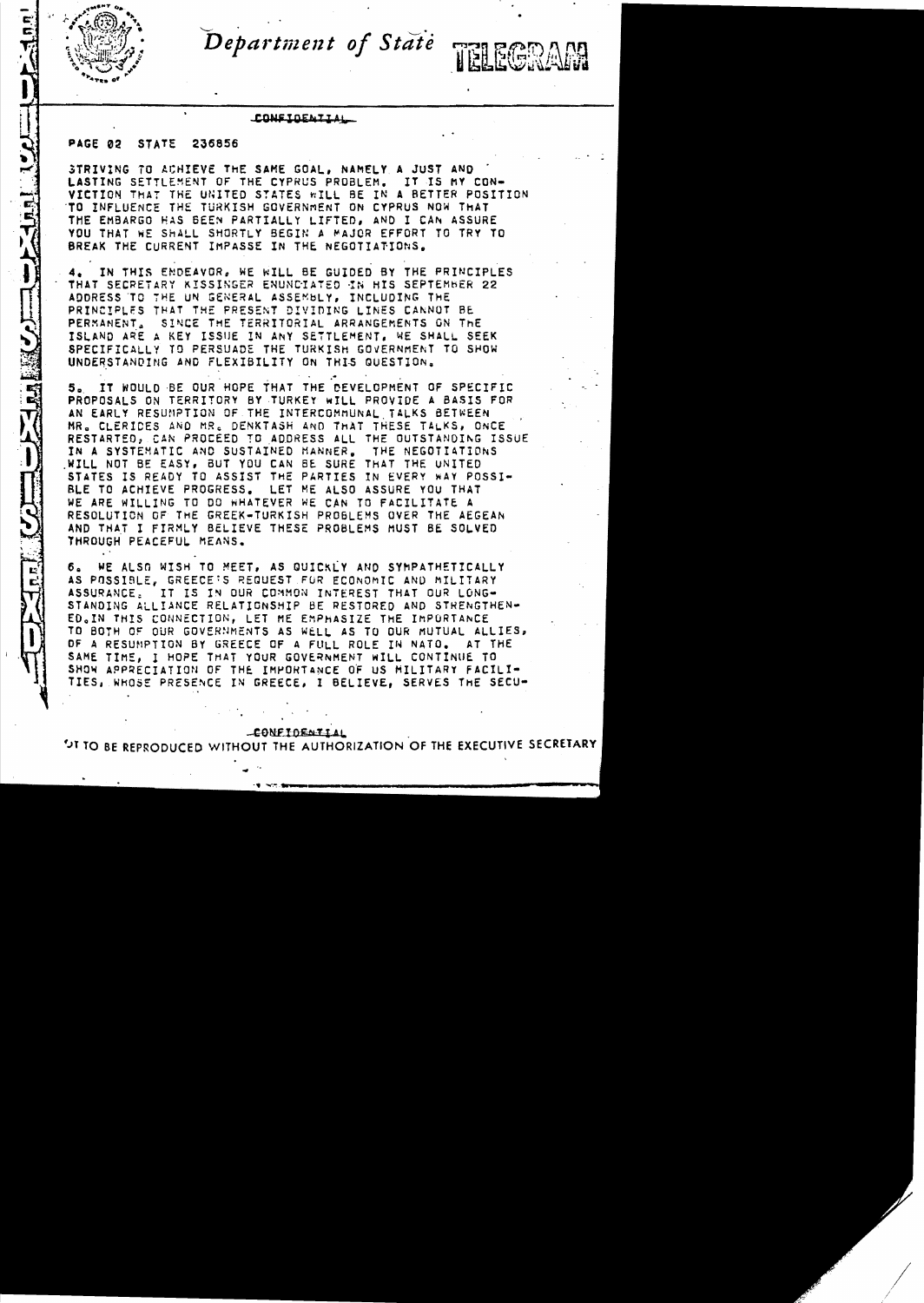

T. HEET AI

Department of State

TELECRAM

### CONSIDENTIAL

# PAGE 02 STATE 236856

STRIVING TO ACHIEVE THE SAME GOAL, NAMELY A JUST AND LASTING SETTLEMENT OF THE CYPRUS PROBLEM. IT IS MY CON-VICTION THAT THE UNITED STATES WILL BE IN A BETTER POSITION TO INFLUENCE THE TURKISH GOVERNMENT ON CYPRUS NOW THAT THE EMBARGO HAS BEEN PARTIALLY LIFTED, AND I CAN ASSURE YOU THAT WE SHALL SHORTLY BEGIN A MAJOR EFFORT TO TRY TO BREAK THE CURRENT IMPASSE IN THE NEGOTIATIONS.

IN THIS ENDEAVOR, WE WILL BE GUIDED BY THE PRINCIPLES 4. THAT SECRETARY KISSINGER ENUNCIATED IN HIS SEPTEMBER 22 ADDRESS TO THE UN GENERAL ASSEMBLY, INCLUDING THE PRINCIPLES THAT THE PRESENT DIVIDING LINES CANNOT BE PERMANENT. SINCE THE TERRITORIAL ARRANGEMENTS ON THE ISLAND ARE A KEY ISSUE IN ANY SETTLEMENT, WE SHALL SEEK SPECIFICALLY TO PERSUADE THE TURKISH GOVERNMENT TO SHOW UNDERSTANDING AND FLEXIBILITY ON THIS QUESTION.

5. IT WOULD BE OUR HOPE THAT THE DEVELOPMENT OF SPECIFIC PROPOSALS ON TERRITORY BY TURKEY WILL PROVIDE A BASIS FOR AN EARLY RESUMPTION OF THE INTERCOMMUNAL TALKS BETWEEN MR. CLERIDES AND MR. DENKTASH AND THAT THESE TALKS, ONCE RESTARTED, CAN PROCEED TO ADDRESS ALL THE OUTSTANDING ISSUE IN A SYSTEMATIC AND SUSTAINED MANNER. THE NEGOTIATIONS WILL NOT BE EASY, BUT YOU CAN BE SURE THAT THE UNITED STATES IS READY TO ASSIST THE PARTIES IN EVERY WAY POSSI-BLE TO ACHIEVE PROGRESS. LET ME ALSO ASSURE YOU THAT WE ARE WILLING TO DO WHATEVER WE CAN TO FACILITATE A RESOLUTION OF THE GREEK-TURKISH PROBLEMS OVER THE AEGEAN AND THAT I FIRMLY BELIEVE THESE PROBLEMS MUST BE SOLVED THROUGH PEACEFUL MEANS.

WE ALSO WISH TO MEET, AS QUICKLY AND SYMPATHETICALLY б. AS POSSIBLE, GREECE'S REQUEST FOR ECONOMIC AND MILITARY ASSURANCE. IT IS IN OUR COMMON INTEREST THAT OUR LONG-STANDING ALLIANCE RELATIONSHIP BE RESTORED AND STRENGTHEN-ED.IN THIS CONNECTION, LET ME EMPHASIZE THE IMPORTANCE TO BOTH OF OUR GOVERNMENTS AS WELL AS TO OUR MUTUAL ALLIES, OF A RESUMPTION BY GREECE OF A FULL ROLE IN NATO. AT THE SAME TIME, I HOPE THAT YOUR GOVERNMENT WILL CONTINUE TO SHOW APPRECIATION OF THE IMPORTANCE OF US MILITARY FACILI-TIES, WHOSE PRESENCE IN GREECE, I BELIEVE, SERVES THE SECU-

## **CONFIDENTIAL**

"<sup>17</sup> TO BE REPRODUCED WITHOUT THE AUTHORIZATION OF THE EXECUTIVE SECRETARY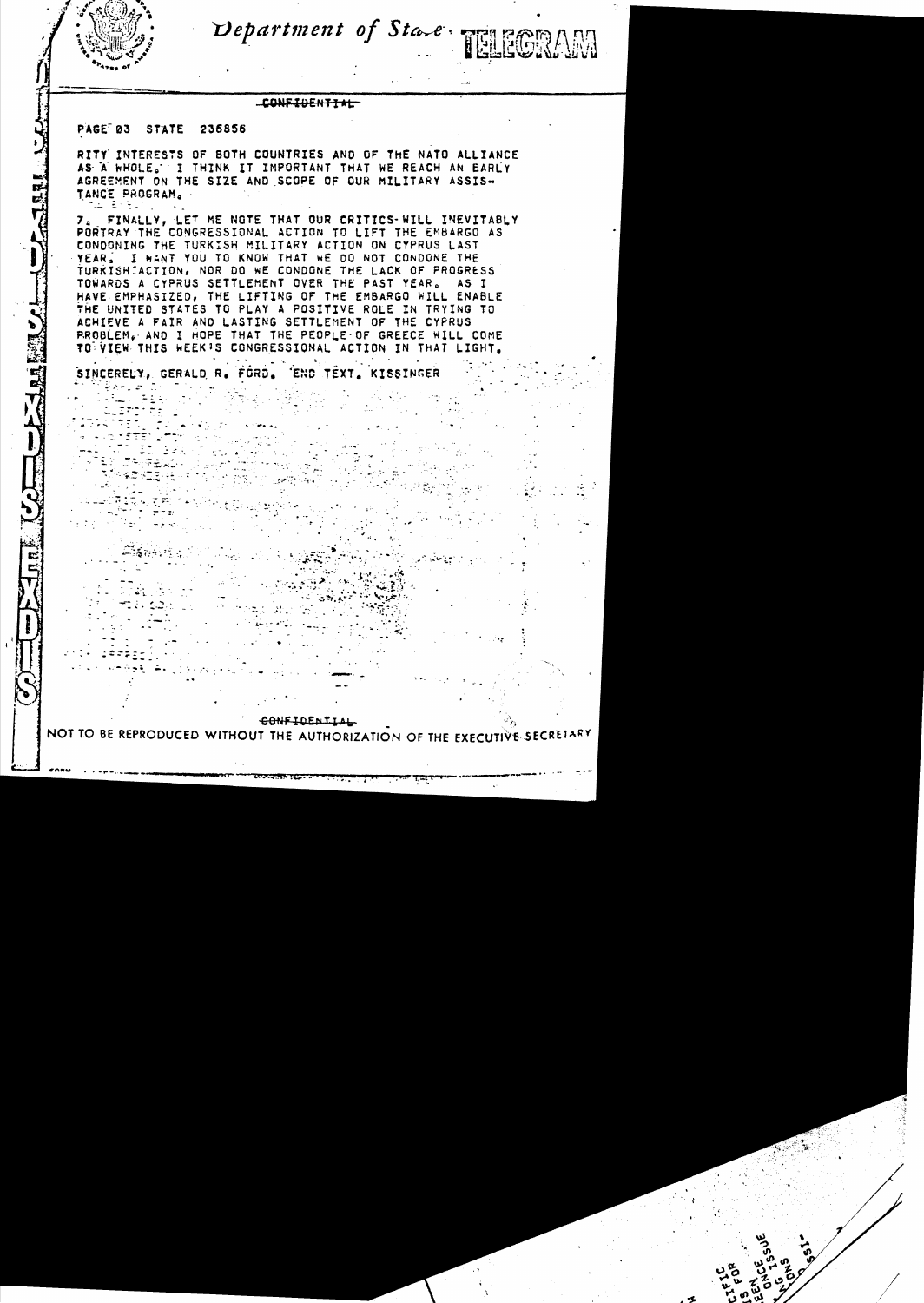

Department of State TELECRAM

## CONFIDENTIAL

#### PAGE 03 **STATE** 236856

RITY INTERESTS OF BOTH COUNTRIES AND OF THE NATO ALLIANCE AS A WHOLE. I THINK IT IMPORTANT THAT WE REACH AN EARLY AGREEMENT ON THE SIZE AND SCOPE OF OUR MILITARY ASSIS-TANCE PROGRAM.

7. FINALLY, LET ME NOTE THAT OUR CRITICS-WILL INEVITABLY PORTRAY THE CONGRESSIONAL ACTION TO LIFT THE EMBARGO AS CONDONING THE TURKISH MILITARY ACTION ON CYPRUS LAST YEAR. I WANT YOU TO KNOW THAT WE DO NOT CONDONE THE TURKISH ACTION, NOR DO WE CONDONE THE LACK OF PROGRESS TOWARDS A CYPRUS SETTLEMENT OVER THE PAST YEAR. AS T HAVE EMPHASIZED, THE LIFTING OF THE EMBARGO WILL ENABLE THE UNITED STATES TO PLAY A POSITIVE ROLE IN TRYING TO ACHIEVE A FAIR AND LASTING SETTLEMENT OF THE CYPRUS PROBLEM. AND I HOPE THAT THE PEOPLE OF GREECE WILL COME TO VIEW THIS WEEK'S CONGRESSIONAL ACTION IN THAT LIGHT.

END TEXT, KISSINGER SINCERELY, GERALD R. FORD.

# CONFIDENTIAL

NOT TO BE REPRODUCED WITHOUT THE AUTHORIZATION OF THE EXECUTIVE SECRETARY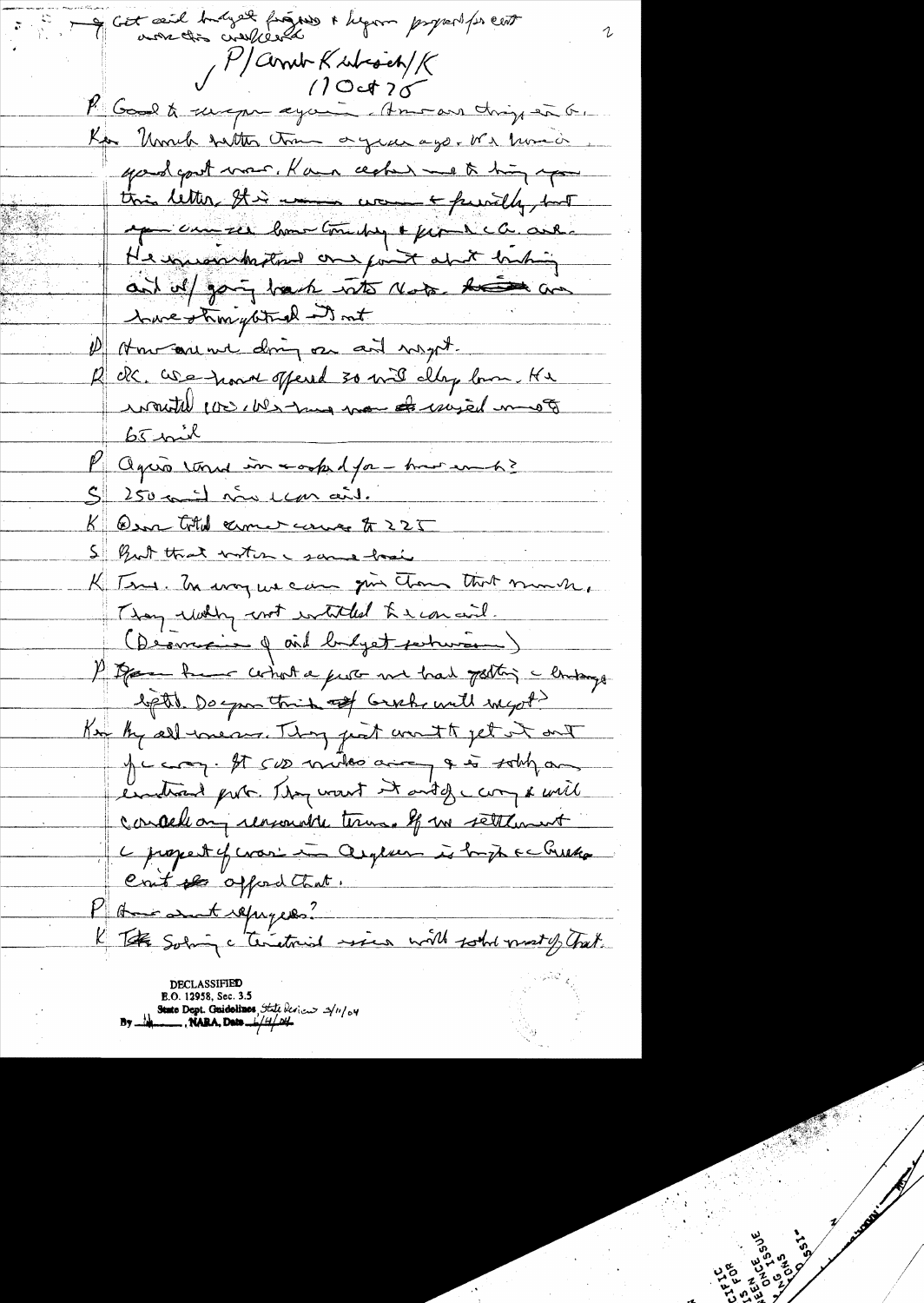of Got and budyet from a hypon property ent P/Comb Kubisch/K<br>10 et 20 P Good to surepre eyening Amoran chip en G. Kan "Umuh talter time organization We have in your goot was. Kan cecher we to him you this letter this was workedly, but ep can see home tomating & from the candid He incommended one fort about backing and off going back with Note. Accord and have strongbtuck it not 1) How are not doing on and wapt. R OR. We have offered 30 mil day low. He commitable to ches may more de unitate un  $65$  mil l'agua vous interprésent par mois S 250 mil nou un ait. K Osa total comercement 225 5 But that noter & same hood K Tens. In way we can give thou that much, They willy with withded the concil. (Desmeine & aid budyet perturienne) P Danne have what a feet we had potting a linking light. Do you think of Grahr will ingot? Ke by all means. They just anoth jet it out Je com. It sus miles aire a sobt an endeand pute. They want it and of cary & will concellang reasonable terms. If we settlement L propert of crasi in argever is bright a checker Crit for offred that. Phone and repayers? The Solary c'Tenetries sien with sold most of Trat. E.O. 12958, Sec. 3.5<br>State Dept. Guidelines, State Serien  $\frac{3}{100}$